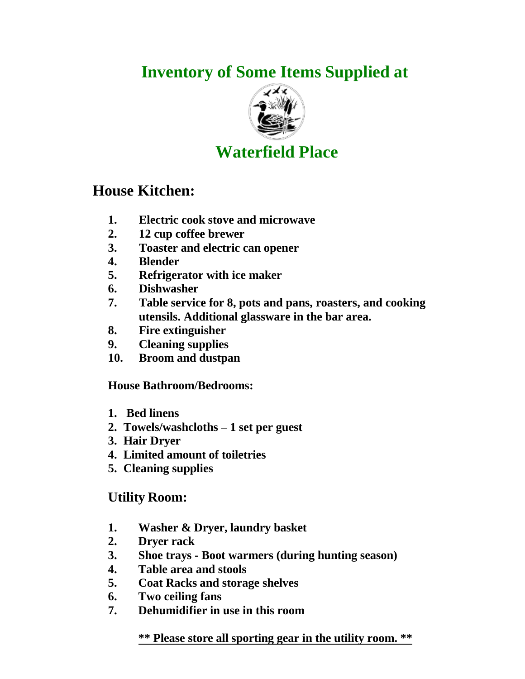# **Inventory of Some Items Supplied at**



## **Waterfield Place**

### **House Kitchen:**

- **1. Electric cook stove and microwave**
- **2. 12 cup coffee brewer**
- **3. Toaster and electric can opener**
- **4. Blender**
- **5. Refrigerator with ice maker**
- **6. Dishwasher**
- **7. Table service for 8, pots and pans, roasters, and cooking utensils. Additional glassware in the bar area.**
- **8. Fire extinguisher**
- **9. Cleaning supplies**
- **10. Broom and dustpan**

**House Bathroom/Bedrooms:**

- **1. Bed linens**
- **2. Towels/washcloths – 1 set per guest**
- **3. Hair Dryer**
- **4. Limited amount of toiletries**
- **5. Cleaning supplies**

### **Utility Room:**

- **1. Washer & Dryer, laundry basket**
- **2. Dryer rack**
- **3. Shoe trays - Boot warmers (during hunting season)**
- **4. Table area and stools**
- **5. Coat Racks and storage shelves**
- **6. Two ceiling fans**
- **7. Dehumidifier in use in this room**

**\*\* Please store all sporting gear in the utility room. \*\***